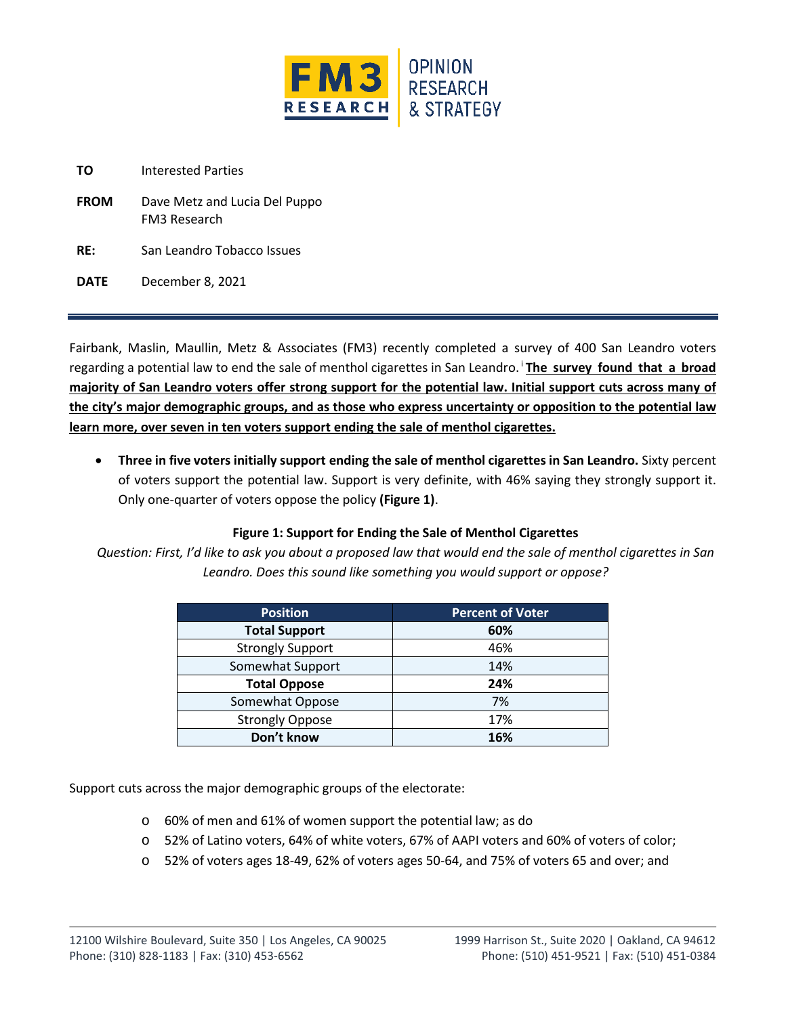

- **TO** Interested Parties
- **FROM** Dave Metz and Lucia Del Puppo FM3 Research
- **RE:** San Leandro Tobacco Issues
- **DATE** December 8, 2021

Fairbank, Maslin, Maullin, Metz & Associates (FM3) recently completed a survey of 400 San Leandro voters regarding a potential law to end the sale of menthol cigarettes in San Leandro. <sup>i</sup> **The survey found that a broad majority of San Leandro voters offer strong support for the potential law. Initial support cuts across many of the city's major demographic groups, and as those who express uncertainty or opposition to the potential law learn more, over seven in ten voters support ending the sale of menthol cigarettes.**

• **Three in five voters initially support ending the sale of menthol cigarettes in San Leandro.** Sixty percent of voters support the potential law. Support is very definite, with 46% saying they strongly support it. Only one-quarter of voters oppose the policy **(Figure 1)**.

## **Figure 1: Support for Ending the Sale of Menthol Cigarettes**

*Question: First, I'd like to ask you about a proposed law that would end the sale of menthol cigarettes in San Leandro. Does this sound like something you would support or oppose?*

| <b>Position</b>         | Percent of Voter |  |  |
|-------------------------|------------------|--|--|
| <b>Total Support</b>    | 60%              |  |  |
| <b>Strongly Support</b> | 46%              |  |  |
| Somewhat Support        | 14%              |  |  |
| <b>Total Oppose</b>     | 24%              |  |  |
| Somewhat Oppose         | 7%               |  |  |
| <b>Strongly Oppose</b>  | 17%              |  |  |
| Don't know              | 16%              |  |  |

Support cuts across the major demographic groups of the electorate:

- o 60% of men and 61% of women support the potential law; as do
- o 52% of Latino voters, 64% of white voters, 67% of AAPI voters and 60% of voters of color;
- o 52% of voters ages 18-49, 62% of voters ages 50-64, and 75% of voters 65 and over; and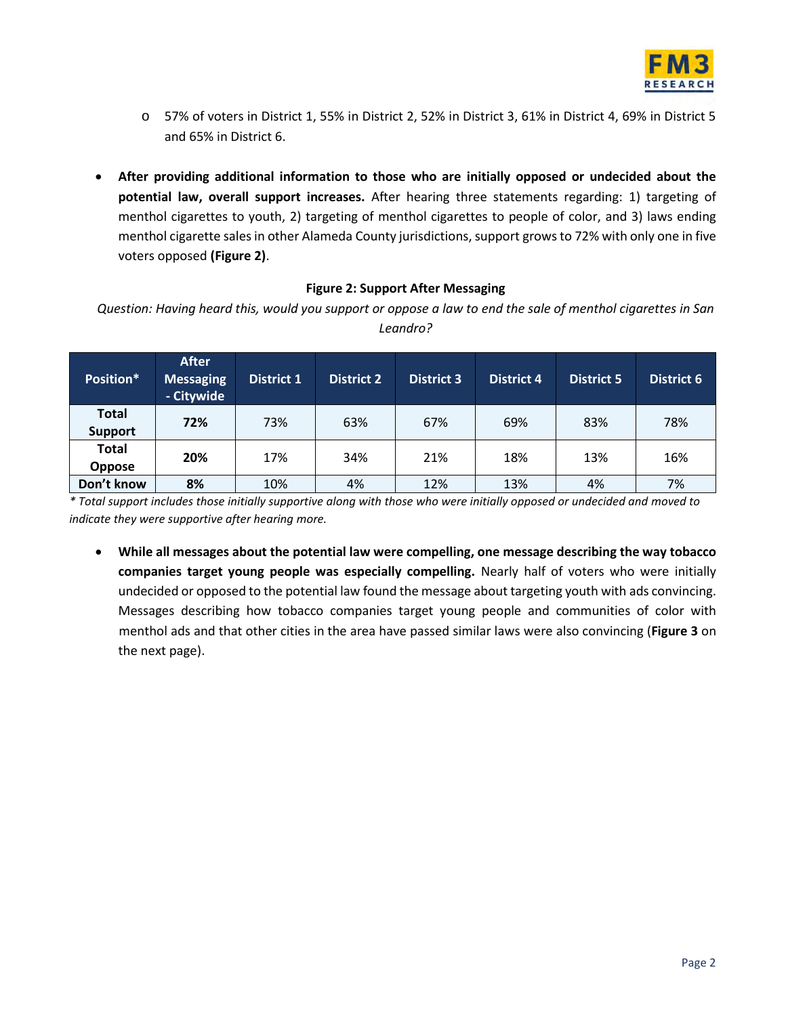

- o 57% of voters in District 1, 55% in District 2, 52% in District 3, 61% in District 4, 69% in District 5 and 65% in District 6.
- **After providing additional information to those who are initially opposed or undecided about the potential law, overall support increases.** After hearing three statements regarding: 1) targeting of menthol cigarettes to youth, 2) targeting of menthol cigarettes to people of color, and 3) laws ending menthol cigarette sales in other Alameda County jurisdictions, support grows to 72% with only one in five voters opposed **(Figure 2)**.

## **Figure 2: Support After Messaging**

*Question: Having heard this, would you support or oppose a law to end the sale of menthol cigarettes in San Leandro?*

| Position*                      | <b>After</b><br><b>Messaging</b><br>- Citywide | District 1 | <b>District 2</b> | <b>District 3</b> | District 4 | <b>District 5</b> | <b>District 6</b> |
|--------------------------------|------------------------------------------------|------------|-------------------|-------------------|------------|-------------------|-------------------|
| <b>Total</b><br><b>Support</b> | 72%                                            | 73%        | 63%               | 67%               | 69%        | 83%               | 78%               |
| <b>Total</b><br><b>Oppose</b>  | 20%                                            | 17%        | 34%               | 21%               | 18%        | 13%               | 16%               |
| Don't know                     | 8%                                             | 10%        | 4%                | 12%               | 13%        | 4%                | 7%                |

*\* Total support includes those initially supportive along with those who were initially opposed or undecided and moved to indicate they were supportive after hearing more.*

• **While all messages about the potential law were compelling, one message describing the way tobacco companies target young people was especially compelling.** Nearly half of voters who were initially undecided or opposed to the potential law found the message about targeting youth with ads convincing. Messages describing how tobacco companies target young people and communities of color with menthol ads and that other cities in the area have passed similar laws were also convincing (**Figure 3** on the next page).